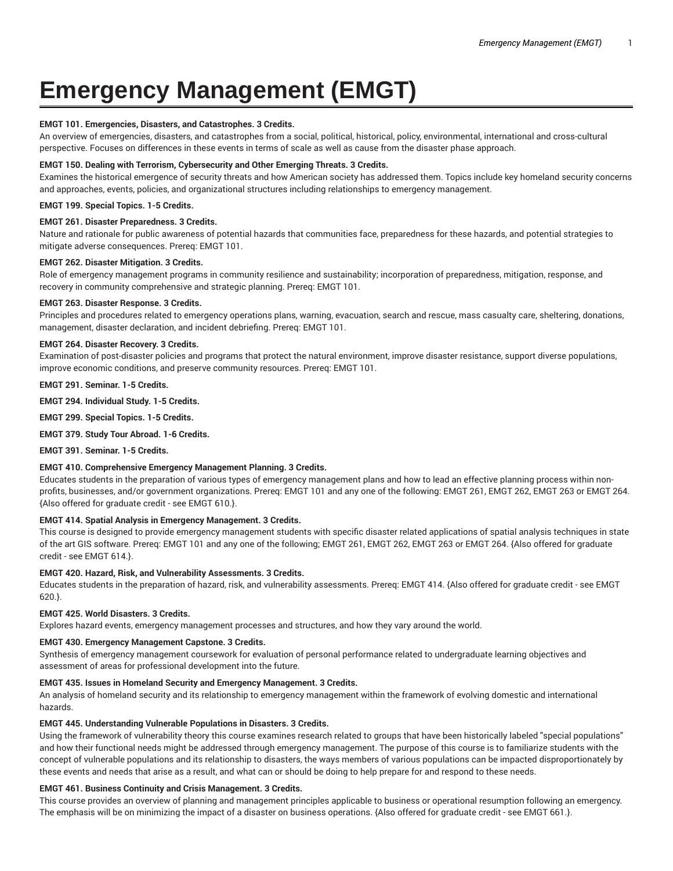# **Emergency Management (EMGT)**

## **EMGT 101. Emergencies, Disasters, and Catastrophes. 3 Credits.**

An overview of emergencies, disasters, and catastrophes from a social, political, historical, policy, environmental, international and cross-cultural perspective. Focuses on differences in these events in terms of scale as well as cause from the disaster phase approach.

#### **EMGT 150. Dealing with Terrorism, Cybersecurity and Other Emerging Threats. 3 Credits.**

Examines the historical emergence of security threats and how American society has addressed them. Topics include key homeland security concerns and approaches, events, policies, and organizational structures including relationships to emergency management.

#### **EMGT 199. Special Topics. 1-5 Credits.**

#### **EMGT 261. Disaster Preparedness. 3 Credits.**

Nature and rationale for public awareness of potential hazards that communities face, preparedness for these hazards, and potential strategies to mitigate adverse consequences. Prereq: EMGT 101.

#### **EMGT 262. Disaster Mitigation. 3 Credits.**

Role of emergency management programs in community resilience and sustainability; incorporation of preparedness, mitigation, response, and recovery in community comprehensive and strategic planning. Prereq: EMGT 101.

## **EMGT 263. Disaster Response. 3 Credits.**

Principles and procedures related to emergency operations plans, warning, evacuation, search and rescue, mass casualty care, sheltering, donations, management, disaster declaration, and incident debriefing. Prereq: EMGT 101.

#### **EMGT 264. Disaster Recovery. 3 Credits.**

Examination of post-disaster policies and programs that protect the natural environment, improve disaster resistance, support diverse populations, improve economic conditions, and preserve community resources. Prereq: EMGT 101.

**EMGT 291. Seminar. 1-5 Credits.**

**EMGT 294. Individual Study. 1-5 Credits.**

**EMGT 299. Special Topics. 1-5 Credits.**

**EMGT 379. Study Tour Abroad. 1-6 Credits.**

**EMGT 391. Seminar. 1-5 Credits.**

## **EMGT 410. Comprehensive Emergency Management Planning. 3 Credits.**

Educates students in the preparation of various types of emergency management plans and how to lead an effective planning process within nonprofits, businesses, and/or government organizations. Prereq: EMGT 101 and any one of the following: EMGT 261, EMGT 262, EMGT 263 or EMGT 264. {Also offered for graduate credit - see EMGT 610.}.

## **EMGT 414. Spatial Analysis in Emergency Management. 3 Credits.**

This course is designed to provide emergency management students with specific disaster related applications of spatial analysis techniques in state of the art GIS software. Prereq: EMGT 101 and any one of the following; EMGT 261, EMGT 262, EMGT 263 or EMGT 264. {Also offered for graduate credit - see EMGT 614.}.

#### **EMGT 420. Hazard, Risk, and Vulnerability Assessments. 3 Credits.**

Educates students in the preparation of hazard, risk, and vulnerability assessments. Prereq: EMGT 414. {Also offered for graduate credit - see EMGT 620.}.

# **EMGT 425. World Disasters. 3 Credits.**

Explores hazard events, emergency management processes and structures, and how they vary around the world.

## **EMGT 430. Emergency Management Capstone. 3 Credits.**

Synthesis of emergency management coursework for evaluation of personal performance related to undergraduate learning objectives and assessment of areas for professional development into the future.

## **EMGT 435. Issues in Homeland Security and Emergency Management. 3 Credits.**

An analysis of homeland security and its relationship to emergency management within the framework of evolving domestic and international hazards.

#### **EMGT 445. Understanding Vulnerable Populations in Disasters. 3 Credits.**

Using the framework of vulnerability theory this course examines research related to groups that have been historically labeled "special populations" and how their functional needs might be addressed through emergency management. The purpose of this course is to familiarize students with the concept of vulnerable populations and its relationship to disasters, the ways members of various populations can be impacted disproportionately by these events and needs that arise as a result, and what can or should be doing to help prepare for and respond to these needs.

## **EMGT 461. Business Continuity and Crisis Management. 3 Credits.**

This course provides an overview of planning and management principles applicable to business or operational resumption following an emergency. The emphasis will be on minimizing the impact of a disaster on business operations. {Also offered for graduate credit - see EMGT 661.}.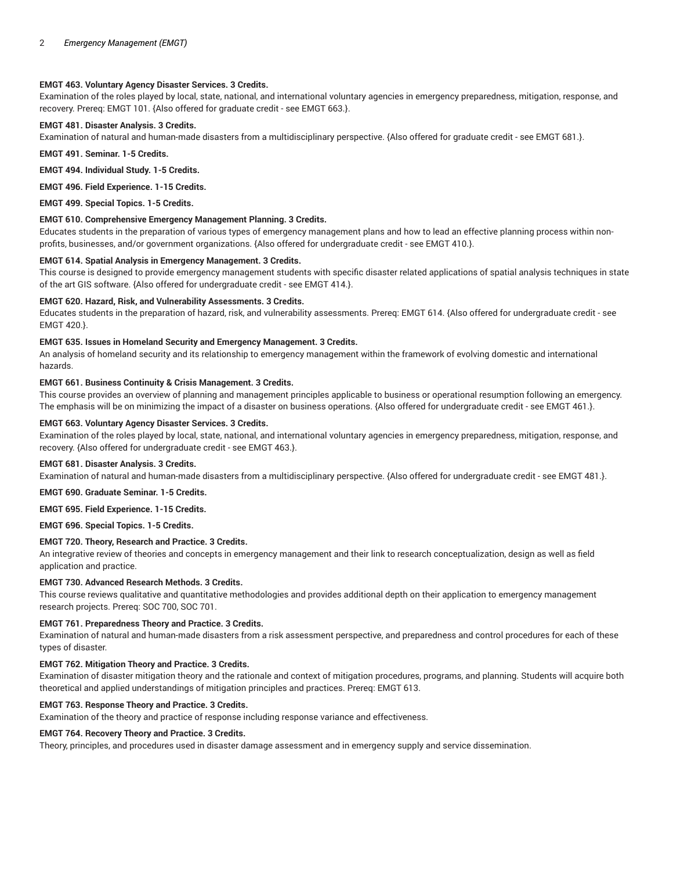# **EMGT 463. Voluntary Agency Disaster Services. 3 Credits.**

Examination of the roles played by local, state, national, and international voluntary agencies in emergency preparedness, mitigation, response, and recovery. Prereq: EMGT 101. {Also offered for graduate credit - see EMGT 663.}.

## **EMGT 481. Disaster Analysis. 3 Credits.**

Examination of natural and human-made disasters from a multidisciplinary perspective. {Also offered for graduate credit - see EMGT 681.}.

**EMGT 491. Seminar. 1-5 Credits.**

**EMGT 494. Individual Study. 1-5 Credits.**

**EMGT 496. Field Experience. 1-15 Credits.**

**EMGT 499. Special Topics. 1-5 Credits.**

## **EMGT 610. Comprehensive Emergency Management Planning. 3 Credits.**

Educates students in the preparation of various types of emergency management plans and how to lead an effective planning process within nonprofits, businesses, and/or government organizations. {Also offered for undergraduate credit - see EMGT 410.}.

## **EMGT 614. Spatial Analysis in Emergency Management. 3 Credits.**

This course is designed to provide emergency management students with specific disaster related applications of spatial analysis techniques in state of the art GIS software. {Also offered for undergraduate credit - see EMGT 414.}.

#### **EMGT 620. Hazard, Risk, and Vulnerability Assessments. 3 Credits.**

Educates students in the preparation of hazard, risk, and vulnerability assessments. Prereq: EMGT 614. {Also offered for undergraduate credit - see EMGT 420.}.

## **EMGT 635. Issues in Homeland Security and Emergency Management. 3 Credits.**

An analysis of homeland security and its relationship to emergency management within the framework of evolving domestic and international hazards.

#### **EMGT 661. Business Continuity & Crisis Management. 3 Credits.**

This course provides an overview of planning and management principles applicable to business or operational resumption following an emergency. The emphasis will be on minimizing the impact of a disaster on business operations. {Also offered for undergraduate credit - see EMGT 461.}.

#### **EMGT 663. Voluntary Agency Disaster Services. 3 Credits.**

Examination of the roles played by local, state, national, and international voluntary agencies in emergency preparedness, mitigation, response, and recovery. {Also offered for undergraduate credit - see EMGT 463.}.

#### **EMGT 681. Disaster Analysis. 3 Credits.**

Examination of natural and human-made disasters from a multidisciplinary perspective. {Also offered for undergraduate credit - see EMGT 481.}.

#### **EMGT 690. Graduate Seminar. 1-5 Credits.**

# **EMGT 695. Field Experience. 1-15 Credits.**

**EMGT 696. Special Topics. 1-5 Credits.**

## **EMGT 720. Theory, Research and Practice. 3 Credits.**

An integrative review of theories and concepts in emergency management and their link to research conceptualization, design as well as field application and practice.

## **EMGT 730. Advanced Research Methods. 3 Credits.**

This course reviews qualitative and quantitative methodologies and provides additional depth on their application to emergency management research projects. Prereq: SOC 700, SOC 701.

## **EMGT 761. Preparedness Theory and Practice. 3 Credits.**

Examination of natural and human-made disasters from a risk assessment perspective, and preparedness and control procedures for each of these types of disaster.

## **EMGT 762. Mitigation Theory and Practice. 3 Credits.**

Examination of disaster mitigation theory and the rationale and context of mitigation procedures, programs, and planning. Students will acquire both theoretical and applied understandings of mitigation principles and practices. Prereq: EMGT 613.

## **EMGT 763. Response Theory and Practice. 3 Credits.**

Examination of the theory and practice of response including response variance and effectiveness.

## **EMGT 764. Recovery Theory and Practice. 3 Credits.**

Theory, principles, and procedures used in disaster damage assessment and in emergency supply and service dissemination.